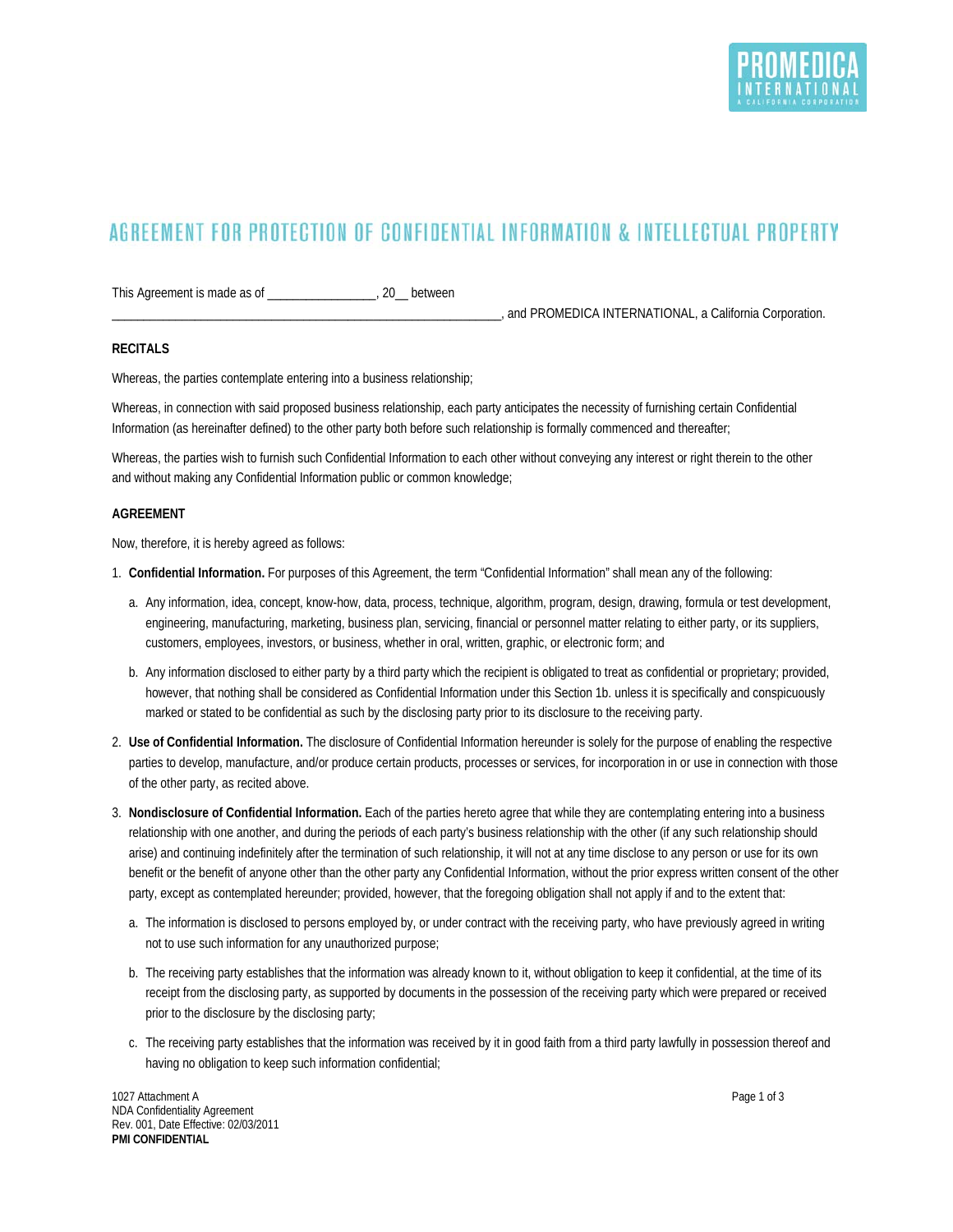## AGREEMENT FOR PROTECTION OF CONFIDENTIAL INFORMATION & INTELLECTUAL PROPERTY

This Agreement is made as of \_\_\_\_\_\_\_\_\_\_\_\_\_\_\_\_\_, 20\_\_ between

\_\_\_\_\_\_\_\_\_\_\_\_\_\_\_\_\_\_\_\_\_\_\_\_\_\_\_\_\_\_\_\_\_\_\_\_\_\_\_\_\_\_\_\_\_\_\_\_\_\_\_\_\_\_\_\_\_\_\_\_\_, and PROMEDICA INTERNATIONAL, a California Corporation.

## **RECITALS**

Whereas, the parties contemplate entering into a business relationship;

Whereas, in connection with said proposed business relationship, each party anticipates the necessity of furnishing certain Confidential Information (as hereinafter defined) to the other party both before such relationship is formally commenced and thereafter;

Whereas, the parties wish to furnish such Confidential Information to each other without conveying any interest or right therein to the other and without making any Confidential Information public or common knowledge;

## **AGREEMENT**

Now, therefore, it is hereby agreed as follows:

- 1. **Confidential Information.** For purposes of this Agreement, the term "Confidential Information" shall mean any of the following:
	- a. Any information, idea, concept, know-how, data, process, technique, algorithm, program, design, drawing, formula or test development, engineering, manufacturing, marketing, business plan, servicing, financial or personnel matter relating to either party, or its suppliers, customers, employees, investors, or business, whether in oral, written, graphic, or electronic form; and
	- b. Any information disclosed to either party by a third party which the recipient is obligated to treat as confidential or proprietary; provided, however, that nothing shall be considered as Confidential Information under this Section 1b. unless it is specifically and conspicuously marked or stated to be confidential as such by the disclosing party prior to its disclosure to the receiving party.
- 2. **Use of Confidential Information.** The disclosure of Confidential Information hereunder is solely for the purpose of enabling the respective parties to develop, manufacture, and/or produce certain products, processes or services, for incorporation in or use in connection with those of the other party, as recited above.
- 3. **Nondisclosure of Confidential Information.** Each of the parties hereto agree that while they are contemplating entering into a business relationship with one another, and during the periods of each party's business relationship with the other (if any such relationship should arise) and continuing indefinitely after the termination of such relationship, it will not at any time disclose to any person or use for its own benefit or the benefit of anyone other than the other party any Confidential Information, without the prior express written consent of the other party, except as contemplated hereunder; provided, however, that the foregoing obligation shall not apply if and to the extent that:
	- a. The information is disclosed to persons employed by, or under contract with the receiving party, who have previously agreed in writing not to use such information for any unauthorized purpose;
	- b. The receiving party establishes that the information was already known to it, without obligation to keep it confidential, at the time of its receipt from the disclosing party, as supported by documents in the possession of the receiving party which were prepared or received prior to the disclosure by the disclosing party;
	- c. The receiving party establishes that the information was received by it in good faith from a third party lawfully in possession thereof and having no obligation to keep such information confidential;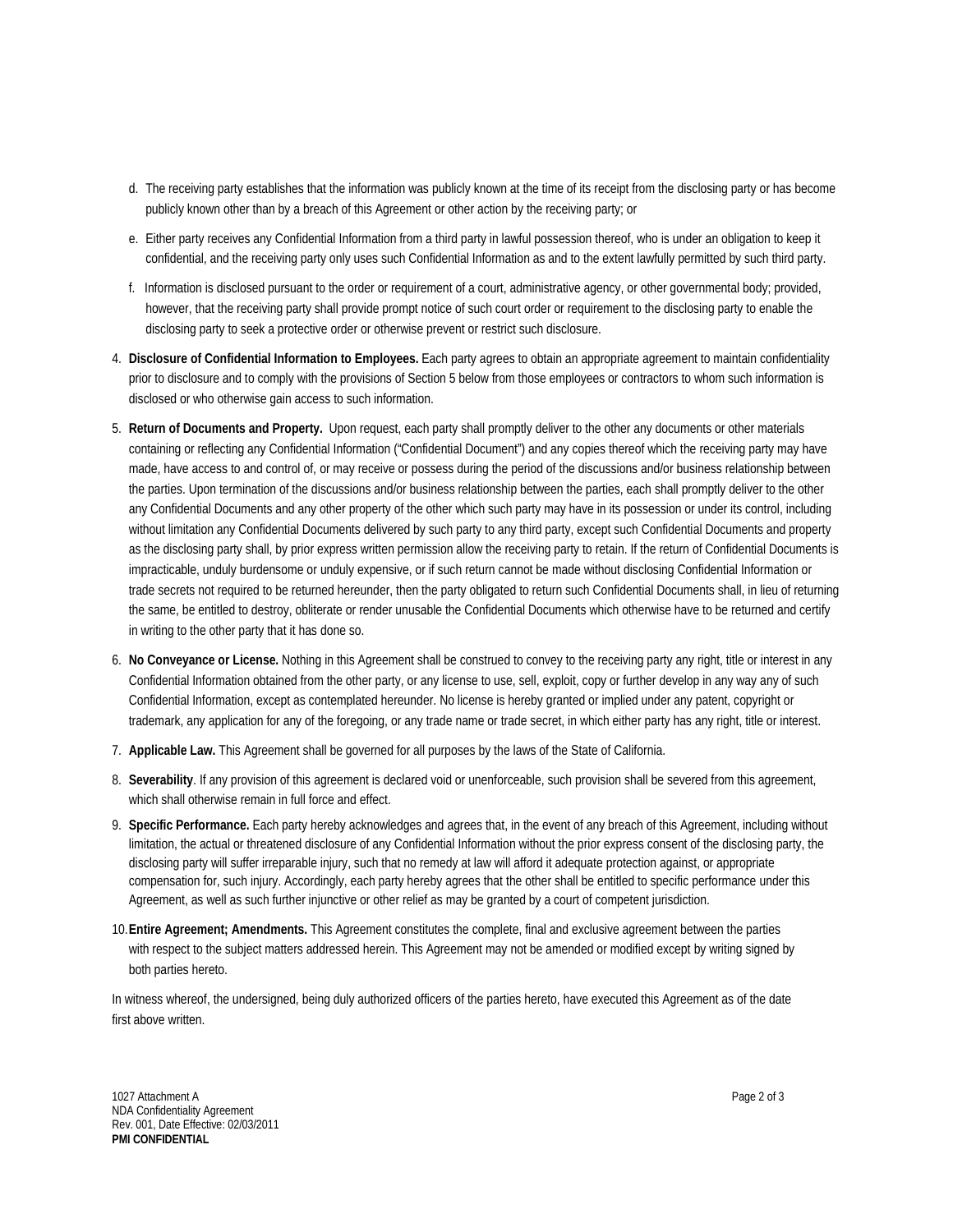- d. The receiving party establishes that the information was publicly known at the time of its receipt from the disclosing party or has become publicly known other than by a breach of this Agreement or other action by the receiving party; or
- e. Either party receives any Confidential Information from a third party in lawful possession thereof, who is under an obligation to keep it confidential, and the receiving party only uses such Confidential Information as and to the extent lawfully permitted by such third party.
- f. Information is disclosed pursuant to the order or requirement of a court, administrative agency, or other governmental body; provided, however, that the receiving party shall provide prompt notice of such court order or requirement to the disclosing party to enable the disclosing party to seek a protective order or otherwise prevent or restrict such disclosure.
- 4. **Disclosure of Confidential Information to Employees.** Each party agrees to obtain an appropriate agreement to maintain confidentiality prior to disclosure and to comply with the provisions of Section 5 below from those employees or contractors to whom such information is disclosed or who otherwise gain access to such information.
- 5. **Return of Documents and Property.** Upon request, each party shall promptly deliver to the other any documents or other materials containing or reflecting any Confidential Information ("Confidential Document") and any copies thereof which the receiving party may have made, have access to and control of, or may receive or possess during the period of the discussions and/or business relationship between the parties. Upon termination of the discussions and/or business relationship between the parties, each shall promptly deliver to the other any Confidential Documents and any other property of the other which such party may have in its possession or under its control, including without limitation any Confidential Documents delivered by such party to any third party, except such Confidential Documents and property as the disclosing party shall, by prior express written permission allow the receiving party to retain. If the return of Confidential Documents is impracticable, unduly burdensome or unduly expensive, or if such return cannot be made without disclosing Confidential Information or trade secrets not required to be returned hereunder, then the party obligated to return such Confidential Documents shall, in lieu of returning the same, be entitled to destroy, obliterate or render unusable the Confidential Documents which otherwise have to be returned and certify in writing to the other party that it has done so.
- 6. **No Conveyance or License.** Nothing in this Agreement shall be construed to convey to the receiving party any right, title or interest in any Confidential Information obtained from the other party, or any license to use, sell, exploit, copy or further develop in any way any of such Confidential Information, except as contemplated hereunder. No license is hereby granted or implied under any patent, copyright or trademark, any application for any of the foregoing, or any trade name or trade secret, in which either party has any right, title or interest.
- 7. **Applicable Law.** This Agreement shall be governed for all purposes by the laws of the State of California.
- 8. **Severability**. If any provision of this agreement is declared void or unenforceable, such provision shall be severed from this agreement, which shall otherwise remain in full force and effect.
- 9. **Specific Performance.** Each party hereby acknowledges and agrees that, in the event of any breach of this Agreement, including without limitation, the actual or threatened disclosure of any Confidential Information without the prior express consent of the disclosing party, the disclosing party will suffer irreparable injury, such that no remedy at law will afford it adequate protection against, or appropriate compensation for, such injury. Accordingly, each party hereby agrees that the other shall be entitled to specific performance under this Agreement, as well as such further injunctive or other relief as may be granted by a court of competent jurisdiction.
- 10.**Entire Agreement; Amendments.** This Agreement constitutes the complete, final and exclusive agreement between the parties with respect to the subject matters addressed herein. This Agreement may not be amended or modified except by writing signed by both parties hereto.

In witness whereof, the undersigned, being duly authorized officers of the parties hereto, have executed this Agreement as of the date first above written.